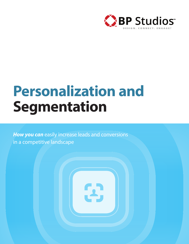

# **Personalization and Segmentation**

i Aj

**How you can** easily increase leads and conversions in a competitive landscape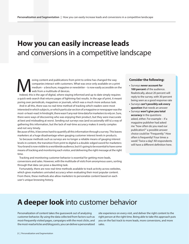## **How you can easily increase leads**  and conversions in a competitive landscape

oving content and publications from print to online has changed the way<br>
companies interact with customers. What was once only available on a print<br>
medium – a brochure, magazine or newsletter – is now easily accessible on companies interact with customers. What was once only available on a print medium – a brochure, magazine or newsletter – is now easily accessible on the web from a multitude of devices.

a quick web search that returns pages of lightning-fast results. In the age of print, it meant poring over periodicals, magazines or journals, which was a much more arduous task.

And in all this, there was no real-time method of tracking which readers were most interested in which subjects, or which particular section of a magazine or newspaper was the most- or least-read. In hindsight, there wasn't any real-time data for marketers to rely on. Sure, there were ways of discovering who was enjoying their product, but they were inaccurate at best and misleading at worst. Sending out surveys was (and occasionally still is) a way of gathering this information, but the lack of real-time accuracy makes it overly complex and not very timely.

Because of this, it becomes hard to quantify all this information through a survey. This leaves marketers at a huge disadvantage when gauging customer interest levels in products.

So because methods such as surveys are no longer a reliable means of gauging interest levels in content, the transition from print to digital is a double-edged sword for marketers: Your brand is now visible to a worldwide audience, but it's going to be essential to have some means of tracking and monitoring each visitor, and delivering the right message at the right time.

Tracking and monitoring customer behavior is essential for getting more leads, conversions and sales. However, with the multitude of visits from anonymous users, sorting through that data can pose a daunting task.

Fortunately, there are now real-time methods available to track activity across websites, which gives marketers unrivaled accuracy when evaluating their most popular content. From there, these methods also allow marketers to personalize content based on each user's unique browsing history.

#### **Consider the following:**

- **•** Surveys **never account for 100 percent** of the audience. Realistically, about 20 percent will reply to the survey, with 30 percent being seen as a good response rate
- **•** Surveys **can't possibly ask every question** that needs an answer
- **•** Surveys **won't give you total accuracy** in the questions asked, either. For example – if a magazine publisher had asked me "how often do you read our publication?" a possible answer choice could be "Frequently." How often is frequently? Four times a week? Twice a day? All respondents will have a different definition here.

## **A deeper look** into customer behavior

Personalization of content takes the guesswork out of analyzing customer behavior. By using the data collected from factors such as most-frequently visited pages, campaigns with the most clicks, and the most-read articles and blog posts, you can deliver a personalized site experience on every visit, and deliver the right content to the right person at the right time. Being able to take this approach puts you on the fast track to more leads, more conversions, and more sales.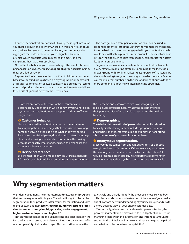Content personalization starts with having the insight into what you should deliver, and to whom. A built-in web analytics module can track each customer's browsing history and automatically aggregate that data in the order you designate – by number of visits, which products were purchased the most, and the campaigns that had the most clicks.

No matter the behavior you choose to target, the results of content personalization gives the ability to **segment** a group of customers by that specified behavior.

**Segmentation** is the marketing practice of dividing a customer base into specified groups based on psychographic or behavioral attributes. Segmentation allows a company to optimize marketing, sales and product offerings to match customer interests, and allows for precise alignment between these two areas.

The data gathered from personalization can then be used in creating segmented lists of the visitors who might be the most likely to come back, who was most engaged with your content, and who would be most likely to purchase more products. These custom-built lists can then be given to sales teams so they can contact the hottest leads with precise timing.

Segmentation works seamlessly with personalization to create a very effective marketing strategy. Combining these tactics is a growing trend within online marketing, as 37 percent of marketers are already choosing to segment campaigns based on behavior. Even as you read this, that number is on the rise, and will continue to do so as more companies adopt new digital marketing strategies.

So what are some of the ways website content can be personalized? Depending on which behavior you want to look at, content personalization can be applied to a litany of factors. They include:

#### **Customer behavior.**

You can personalize content based on customer behavior by analyzing the sites and pages that were visited, how long someone stayed on the page, and what links were clicked. Factors such as visited pages, downloaded content, campaign clicks, and knowing where each customer is in the buying process are exactly what marketers need to personalize the experience for each customer.

#### **<sup>2</sup>** Device preferences.

Did the user log in with a mobile device? Or from a desktop PC they've used before? Even something as simple as storing the username and password to circumvent logging in can make a huge difference here. What if the customer forgot their password? It's often a hassle to reset it, which could be frustrating.

#### **8 Demographics.**

The tried-and-true method of personalization still holds value today. Typically, demographics include age, gender, location, and job title, and those factors lay a good framework for getting a broader sense of your overall customer base.

#### **<sup>4</sup>** Anonymous segmentation.

Most web traffic comes from anonymous visitors, as opposed to registered users of a site. What if there was a way to segment those anonymous users based on the factors listed above? It would present a golden opportunity to personalize content for that anonymous audience, which could shorten the sales cycle.

### **Why segmentation matters**

Well-defined segments mean more targeted messages and programs that resonate greater with buyers. The added insight collected by segmentation then produces faster results for marketing and sales teams alike, including: **faster close times, higher response rates, shorter conversion cycles, bigger sales, easier engagement, higher customer loyalty and higher ROI.**

Not only does segmentation put marketing and sales teams on the fast track to these results, but it also can give a more accurate profile of a company's typical or ideal buyer. This can further reduce the

sales cycle and quickly identify the prospects most likely to buy.

This leads to a broader understanding of the scope of your market, and allows for a better understanding of your ideal buyer, and also for a more detailed view of your entire customer base.

Most notably, when used in tandem with personalization, the power of segmentation is maximized to its full potential, and equips marketing teams with the information and insight paramount to success in the digital age. But how can these techniques be paired, and what must be done to accomplish this?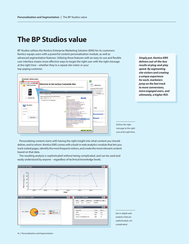### **The BP Studios value**

BP Studios utilizes the Kentico Enterprise Marketing Solution (EMS) for its customers. Kentico equips users with a powerful content personalization module, as well as advanced segmentation features. Utilizing these features with an easy-to-use and flexible user interface means more effective ways to target the right user with the right message at the right time – whether they're a repeat site visitor or your top-paying customer.



*Simply put, Kentico EMS delivers out-of-the-box results at plug-and-play speed. By segmenting site visitors and creating a unique experience for each, marketers jump on the fast track to more conversions, more engaged users, and ultimately, a higher ROI.* 

Deliver the right message to the right user at the right time.

Get in-depth web analytics that are sophisticated, not complicated.

Personalizing content starts with having the right insight into what content you should deliver, and to whom. Kentico EMS comes with a built-in web analytics module that lets you track visited pages, identify the most frequent visitors, and create the most relevant content based on that data.



The resulting analysis is sophisticated without being complicated, and can be used and easily understood by anyone – regardless of technical knowledge levels.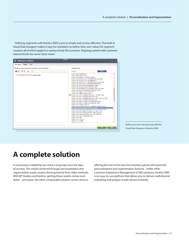Defining segments with Kentico EMS is just as simple and no less effective. The built-in Visual Rule Designer makes it easy for marketers to define their own values for segment creation; all of which apply to a variety of real-life scenarios. Aligning content with customer interest levels has never been easier.

| <b>Edit macro condition</b>                                    |                                                                                                                                                                                                                                                                                                                                                                                                                                                                                                                                                                                                                                                                                                                                                                                                                                                                                                                                                                                                                                                                                                                                                                                                                                                                                                                                                                                                                                                                                                                                                                                | ridix  |
|----------------------------------------------------------------|--------------------------------------------------------------------------------------------------------------------------------------------------------------------------------------------------------------------------------------------------------------------------------------------------------------------------------------------------------------------------------------------------------------------------------------------------------------------------------------------------------------------------------------------------------------------------------------------------------------------------------------------------------------------------------------------------------------------------------------------------------------------------------------------------------------------------------------------------------------------------------------------------------------------------------------------------------------------------------------------------------------------------------------------------------------------------------------------------------------------------------------------------------------------------------------------------------------------------------------------------------------------------------------------------------------------------------------------------------------------------------------------------------------------------------------------------------------------------------------------------------------------------------------------------------------------------------|--------|
| Rule designer Designer Code                                    |                                                                                                                                                                                                                                                                                                                                                                                                                                                                                                                                                                                                                                                                                                                                                                                                                                                                                                                                                                                                                                                                                                                                                                                                                                                                                                                                                                                                                                                                                                                                                                                |        |
| Edit the condition using drag & drop and indent functionality: | Available rules:                                                                                                                                                                                                                                                                                                                                                                                                                                                                                                                                                                                                                                                                                                                                                                                                                                                                                                                                                                                                                                                                                                                                                                                                                                                                                                                                                                                                                                                                                                                                                               |        |
| <b>X</b> # E C H D                                             | Find rate.                                                                                                                                                                                                                                                                                                                                                                                                                                                                                                                                                                                                                                                                                                                                                                                                                                                                                                                                                                                                                                                                                                                                                                                                                                                                                                                                                                                                                                                                                                                                                                     | Filter |
| Contact has purchased product Delt XPS 152                     | Contact agens greater than<br>Contact held contains value<br>Contact has at least X products in wishhat<br>Contact has choked a link in newsletter in the laat X days.<br>Contact has choked a link in newsfelter issue<br>Contact has choked a link in newsletter issue in last X days.<br>Contact has choked a link in the last newatetier issue.<br>Contact has come to the associed landing page<br>Contact has done any achility in the faat Aldays.<br>Contact has done the following activities in the fast Aldays.<br>Contact has downloaded specified life in faal Aldays.<br>Contact has legged in in the last X days.<br>Contact has made at least X orders<br>Contact has opened specified newsletter in the fast X days.<br>Contact has opened specified newsletter raspe-<br>Contact has opened specified newsletter raspe in the fast X days.<br>Contact has opened the fast newsletter issue<br>Contact has bassed through one of specified actions.<br>Contact has passed through one of specified sleps<br>Contact has product in wishinst<br>Contact has purchased number of products in the fast X days<br>Contact has purchased the specified product<br>Contact has searched for specified keywords in the fast X days.<br>Contact has spent money in the slote in the last X days<br>Contact has submitted specified form in the fast X days.<br>Contact has visited a specified page in the last X days.<br>Contact has voted in the specified pol-<br>Contact is terrade<br>Contact is from country<br>Contact is from state<br>Contact is in account |        |
| <b>CIK</b><br>Close                                            |                                                                                                                                                                                                                                                                                                                                                                                                                                                                                                                                                                                                                                                                                                                                                                                                                                                                                                                                                                                                                                                                                                                                                                                                                                                                                                                                                                                                                                                                                                                                                                                |        |

Define your own rules your way with the Visual Rule Designer in Kentico EMS.

### **A complete solution**

In conclusion, marketing has come a long way since the days of surveys. The results achieved through personalization and segmentation easily surpass those garnered from older methods. With BP Studios and Kentico, getting those results comes even faster – and easier. No other comparable solution comes close to

offering the out-of-the-box functionality paired with powerful personalization and segmentation features. Unlike other Customer Experience Management (CXM) solutions, Kentico EMS is an easy-to-use platform that allows you to deliver multichannel marketing and analyze results almost instantly.